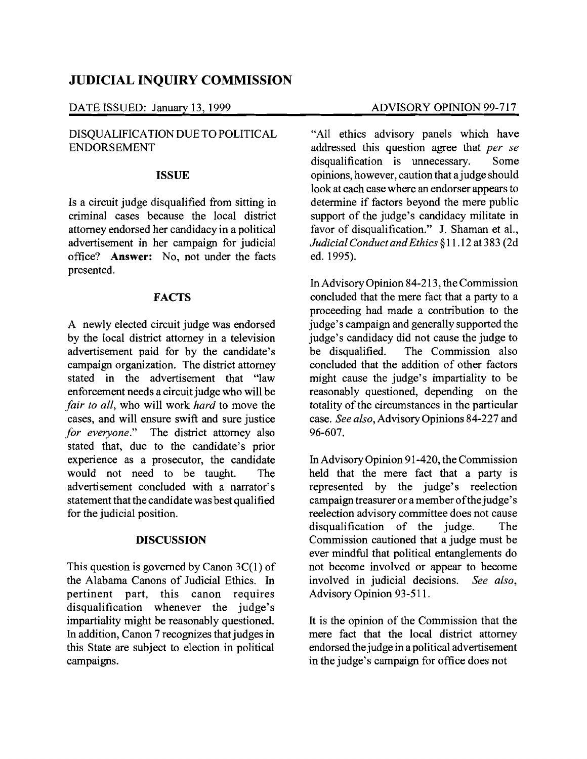# **JUDICIAL INQUIRY COMMISSION**

DATE ISSUED: January 13, 1999 ADVISORY OPINION 99-717

## DISQUALIFICATION DUE TO POLITICAL ENDORSEMENT

#### **ISSUE**

Is a circuit judge disqualified from sitting in criminal cases because the local district attorney endorsed her candidacy in a political advertisement in her campaign for judicial office? **Answer:** No, not under the facts presented.

### **FACTS**

A newly elected circuit judge was endorsed by the local district attorney in a television advertisement paid for by the candidate's campaign organization. The district attorney stated in the advertisement that "law enforcement needs a circuit judge who will be *fair to all,* who will work *hard* to move the cases, and will ensure swift and sure justice *for everyone."* The district attorney also stated that, due to the candidate's prior experience as a prosecutor, the candidate would not need to be taught. The advertisement concluded with a narrator's statement that the candidate was best qualified for the judicial position.

### **DISCUSSION**

This question is governed by Canon  $3C(1)$  of the Alabama Canons of Judicial Ethics. In pertinent part, this canon requires disqualification whenever the judge's impartiality might be reasonably questioned. In addition, Canon 7 recognizes that judges in this State are subject to election in political campaigns.

"All ethics advisory panels which have addressed this question agree that *per se*  disqualification is unnecessary. Some opinions, however, caution that a judge should look at each case where an endorser appears to determine if factors beyond the mere public support of the judge's candidacy militate in favor of disqualification." J. Shaman et aI., *Judicial Conduct andEthics* §11.12 at 383 (2d ed.1995).

In Advisory Opinion 84-213, the Commission concluded that the mere fact that a party to a proceeding had made a contribution to the judge's campaign and generally supported the judge's candidacy did not cause the judge to be disqualified. The Commission also concluded that the addition of other factors might cause the judge's impartiality to be reasonably questioned, depending on the totality of the circumstances in the particular case. *See also,* Advisory Opinions 84-227 and 96-607.

In Advisory Opinion 91-420, the Commission held that the mere fact that a party is represented by the judge's reelection campaign treasurer or a member of the judge's reelection advisory committee does not cause disqualification of the judge. The Commission cautioned that a judge must be ever mindful that political entanglements do not become involved or appear to become involved in judicial decisions. *See also,*  Advisory Opinion 93-511.

It is the opinion of the Commission that the mere fact that the local district attorney endorsed the judge in a political advertisement in the judge's campaign for office does not